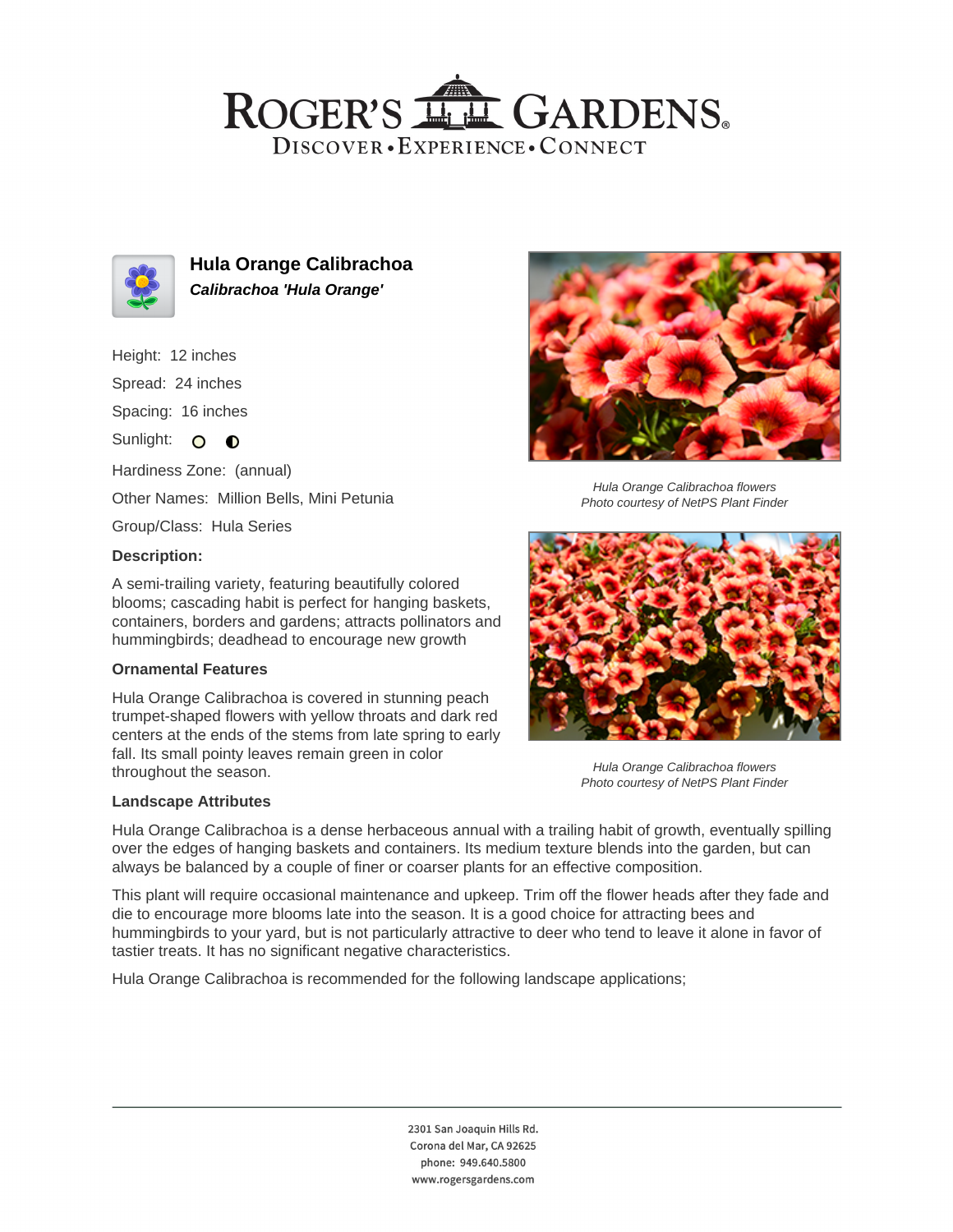## ROGER'S LL GARDENS. DISCOVER · EXPERIENCE · CONNECT



**Hula Orange Calibrachoa Calibrachoa 'Hula Orange'**

### Height: 12 inches

Spread: 24 inches

Spacing: 16 inches

Sunlight: O O

Hardiness Zone: (annual)

Other Names: Million Bells, Mini Petunia

Group/Class: Hula Series

### **Description:**

A semi-trailing variety, featuring beautifully colored blooms; cascading habit is perfect for hanging baskets, containers, borders and gardens; attracts pollinators and hummingbirds; deadhead to encourage new growth

### **Ornamental Features**

Hula Orange Calibrachoa is covered in stunning peach trumpet-shaped flowers with yellow throats and dark red centers at the ends of the stems from late spring to early fall. Its small pointy leaves remain green in color throughout the season.

### **Landscape Attributes**



Hula Orange Calibrachoa flowers Photo courtesy of NetPS Plant Finder



Hula Orange Calibrachoa flowers Photo courtesy of NetPS Plant Finder

Hula Orange Calibrachoa is a dense herbaceous annual with a trailing habit of growth, eventually spilling over the edges of hanging baskets and containers. Its medium texture blends into the garden, but can always be balanced by a couple of finer or coarser plants for an effective composition.

This plant will require occasional maintenance and upkeep. Trim off the flower heads after they fade and die to encourage more blooms late into the season. It is a good choice for attracting bees and hummingbirds to your yard, but is not particularly attractive to deer who tend to leave it alone in favor of tastier treats. It has no significant negative characteristics.

Hula Orange Calibrachoa is recommended for the following landscape applications;

2301 San Joaquin Hills Rd. Corona del Mar, CA 92625 phone: 949.640.5800 www.rogersgardens.com